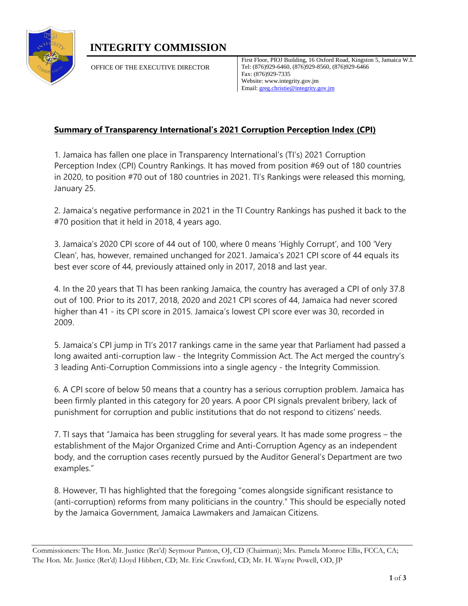

## **INTEGRITY COMMISSION**

OFFICE OF THE EXECUTIVE DIRECTOR

First Floor, PIOJ Building, 16 Oxford Road, Kingston 5, Jamaica W.I. Tel: (876)929-6460, (876)929-8560, (876)929-6466 Fax: (876)929-7335 Website: www.integrity.gov.jm Email[: greg.christie@integrity.gov.jm](mailto:greg.christie@integrity.gov.jm)

## **Summary of Transparency International's 2021 Corruption Perception Index (CPI)**

1. Jamaica has fallen one place in Transparency International's (TI's) 2021 Corruption Perception Index (CPI) Country Rankings. It has moved from position #69 out of 180 countries in 2020, to position #70 out of 180 countries in 2021. TI's Rankings were released this morning, January 25.

2. Jamaica's negative performance in 2021 in the TI Country Rankings has pushed it back to the #70 position that it held in 2018, 4 years ago.

3. Jamaica's 2020 CPI score of 44 out of 100, where 0 means 'Highly Corrupt', and 100 'Very Clean', has, however, remained unchanged for 2021. Jamaica's 2021 CPI score of 44 equals its best ever score of 44, previously attained only in 2017, 2018 and last year.

4. In the 20 years that TI has been ranking Jamaica, the country has averaged a CPI of only 37.8 out of 100. Prior to its 2017, 2018, 2020 and 2021 CPI scores of 44, Jamaica had never scored higher than 41 - its CPI score in 2015. Jamaica's lowest CPI score ever was 30, recorded in 2009.

5. Jamaica's CPI jump in TI's 2017 rankings came in the same year that Parliament had passed a long awaited anti-corruption law - the Integrity Commission Act. The Act merged the country's 3 leading Anti-Corruption Commissions into a single agency - the Integrity Commission.

6. A CPI score of below 50 means that a country has a serious corruption problem. Jamaica has been firmly planted in this category for 20 years. A poor CPI signals prevalent bribery, lack of punishment for corruption and public institutions that do not respond to citizens' needs.

7. TI says that "Jamaica has been struggling for several years. It has made some progress – the establishment of the Major Organized Crime and Anti-Corruption Agency as an independent body, and the corruption cases recently pursued by the Auditor General's Department are two examples."

8. However, TI has highlighted that the foregoing "comes alongside significant resistance to (anti-corruption) reforms from many politicians in the country." This should be especially noted by the Jamaica Government, Jamaica Lawmakers and Jamaican Citizens.

Commissioners: The Hon. Mr. Justice (Ret'd) Seymour Panton, OJ, CD (Chairman); Mrs. Pamela Monroe Ellis, FCCA, CA; The Hon. Mr. Justice (Ret'd) Lloyd Hibbert, CD; Mr. Eric Crawford, CD; Mr. H. Wayne Powell, OD, JP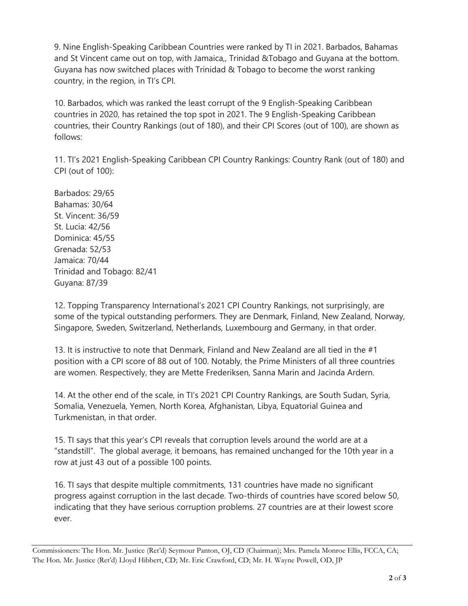9. Nine English-Speaking Caribbean Countries were ranked by TI in 2021. Barbados, Bahamas and St Vincent came out on top, with Jamaica,, Trinidad &Tobago and Guyana at the bottom. Guyana has now switched places with Trinidad & Tobago to become the worst ranking country, in the region, in TI's CPI.

10. Barbados, which was ranked the least corrupt of the 9 English-Speaking Caribbean countries in 2020, has retained the top spot in 2021. The 9 English-Speaking Caribbean countries, their Country Rankings (out of 180), and their CPI Scores (out of 100), are shown as follows:

11. TI's 2021 English-Speaking Caribbean CPI Country Rankings: Country Rank (out of 180) and CPI (out of 100):

Barbados: 29/65 Bahamas: 30/64 St. Vincent: 36/59 St. Lucia: 42/56 Dominica: 45/55 Grenada: 52/53 Jamaica: 70/44 Trinidad and Tobago: 82/41 Guyana: 87/39

12. Topping Transparency International's 2021 CPI Country Rankings, not surprisingly, are some of the typical outstanding performers. They are Denmark, Finland, New Zealand, Norway, Singapore, Sweden, Switzerland, Netherlands, Luxembourg and Germany, in that order.

13. It is instructive to note that Denmark, Finland and New Zealand are all tied in the  $#1$ position with a CPI score of 88 out of 100. Notably, the Prime Ministers of all three countries are women. Respectively, they are Mette Frederiksen, Sanna Marin and Jacinda Ardern.

14. At the other end of the scale, in TI's 2021 CPI Country Rankings, are South Sudan, Syria, Somalia, Venezuela, Yemen, North Korea, Afghanistan, Libya, Equatorial Guinea and Turkmenistan, in that order.

15. TI says that this year's CPI reveals that corruption levels around the world are at a "standstill". The global average, it bemoans, has remained unchanged for the 10th year in a row at just 43 out of a possible 100 points.

16. TI says that despite multiple commitments, 131 countries have made no significant progress against corruption in the last decade. Two-thirds of countries have scored below 50, indicating that they have serious corruption problems. 27 countries are at their lowest score ever.

Commissioners: The Hon. Mr. Justice (Ret'd) Seymour Panton, OJ, CD (Chairman); Mrs. Pamela Monroe Ellis, FCCA, CA; The Hon. Mr. Justice (Ret'd) Lloyd Hibbert, CD; Mr. Eric Crawford, CD; Mr. H. Wayne Powell, OD, JP